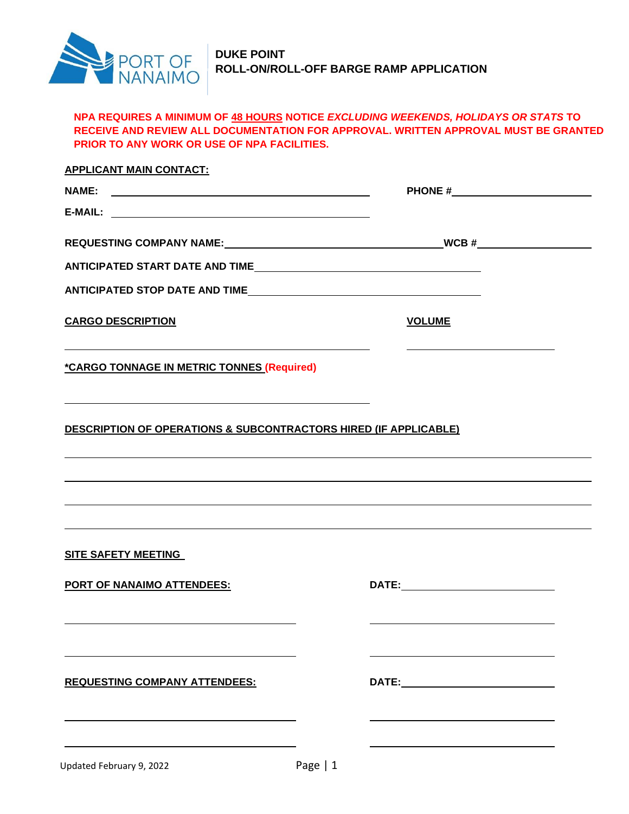

## **NPA REQUIRES A MINIMUM OF 48 HOURS NOTICE** *EXCLUDING WEEKENDS, HOLIDAYS OR STATS* **TO RECEIVE AND REVIEW ALL DOCUMENTATION FOR APPROVAL. WRITTEN APPROVAL MUST BE GRANTED PRIOR TO ANY WORK OR USE OF NPA FACILITIES.**

| <b>APPLICANT MAIN CONTACT:</b>                                   |               |  |  |
|------------------------------------------------------------------|---------------|--|--|
|                                                                  |               |  |  |
|                                                                  |               |  |  |
|                                                                  |               |  |  |
|                                                                  |               |  |  |
|                                                                  |               |  |  |
| <b>CARGO DESCRIPTION</b>                                         | <b>VOLUME</b> |  |  |
| *CARGO TONNAGE IN METRIC TONNES (Required)                       |               |  |  |
| DESCRIPTION OF OPERATIONS & SUBCONTRACTORS HIRED (IF APPLICABLE) |               |  |  |
|                                                                  |               |  |  |
|                                                                  |               |  |  |
|                                                                  |               |  |  |
| <b>SITE SAFETY MEETING</b>                                       |               |  |  |
| <b>PORT OF NANAIMO ATTENDEES:</b>                                |               |  |  |
|                                                                  |               |  |  |
| <b>REQUESTING COMPANY ATTENDEES:</b>                             |               |  |  |
|                                                                  |               |  |  |
|                                                                  |               |  |  |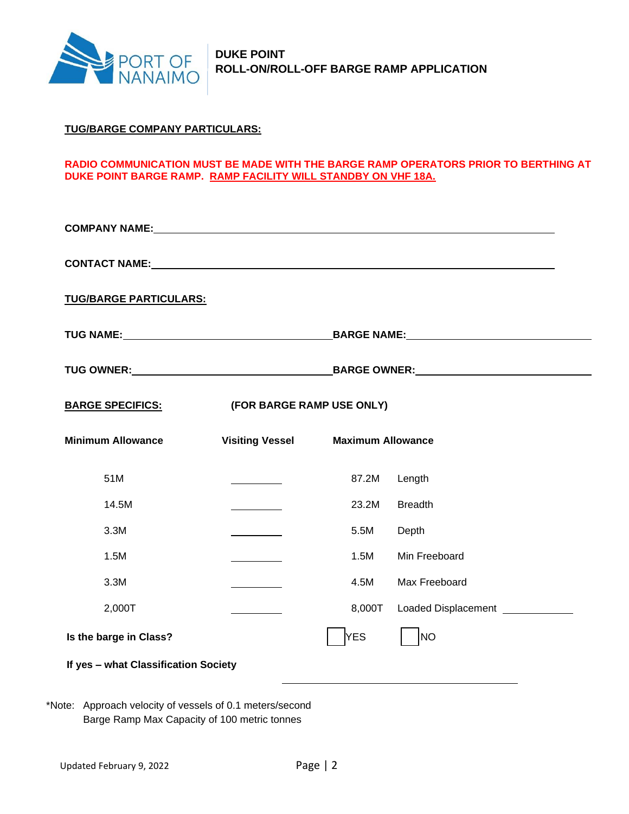

### **TUG/BARGE COMPANY PARTICULARS:**

### **RADIO COMMUNICATION MUST BE MADE WITH THE BARGE RAMP OPERATORS PRIOR TO BERTHING AT DUKE POINT BARGE RAMP. RAMP FACILITY WILL STANDBY ON VHF 18A.**

| <b>TUG/BARGE PARTICULARS:</b>        |                           |                          |                                  |
|--------------------------------------|---------------------------|--------------------------|----------------------------------|
|                                      |                           |                          |                                  |
|                                      |                           |                          |                                  |
| <b>BARGE SPECIFICS:</b>              | (FOR BARGE RAMP USE ONLY) |                          |                                  |
| <b>Minimum Allowance</b>             | <b>Visiting Vessel</b>    | <b>Maximum Allowance</b> |                                  |
| 51M                                  |                           | 87.2M                    | Length                           |
| 14.5M                                |                           | 23.2M                    | <b>Breadth</b>                   |
| 3.3M                                 |                           | 5.5M                     | Depth                            |
| 1.5M                                 |                           | 1.5M                     | Min Freeboard                    |
| 3.3M                                 |                           | 4.5M                     | Max Freeboard                    |
| 2,000T                               |                           | 8,000T                   | Loaded Displacement ____________ |
| Is the barge in Class?               |                           | <b>YES</b>               | <b>NO</b>                        |
| If yes - what Classification Society |                           |                          |                                  |
|                                      |                           |                          |                                  |

\*Note: Approach velocity of vessels of 0.1 meters/second Barge Ramp Max Capacity of 100 metric tonnes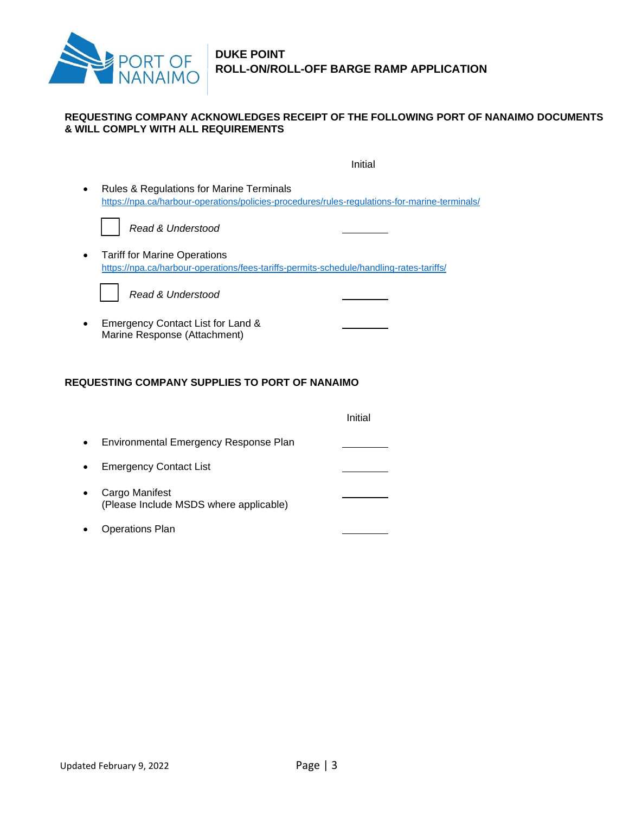

### **REQUESTING COMPANY ACKNOWLEDGES RECEIPT OF THE FOLLOWING PORT OF NANAIMO DOCUMENTS & WILL COMPLY WITH ALL REQUIREMENTS**

|   | Initial                                                                                                                                              |
|---|------------------------------------------------------------------------------------------------------------------------------------------------------|
| ٠ | <b>Rules &amp; Regulations for Marine Terminals</b><br>https://npa.ca/harbour-operations/policies-procedures/rules-regulations-for-marine-terminals/ |
|   | Read & Understood                                                                                                                                    |
|   | <b>Tariff for Marine Operations</b><br>https://npa.ca/harbour-operations/fees-tariffs-permits-schedule/handling-rates-tariffs/                       |
|   | Read & Understood                                                                                                                                    |
|   | Emergency Contact List for Land &<br>Marine Response (Attachment)                                                                                    |
|   | <b>REQUESTING COMPANY SUPPLIES TO PORT OF NANAIMO</b>                                                                                                |

# Initial • Environmental Emergency Response Plan • Emergency Contact List • Cargo Manifest (Please Include MSDS where applicable) • Operations Plan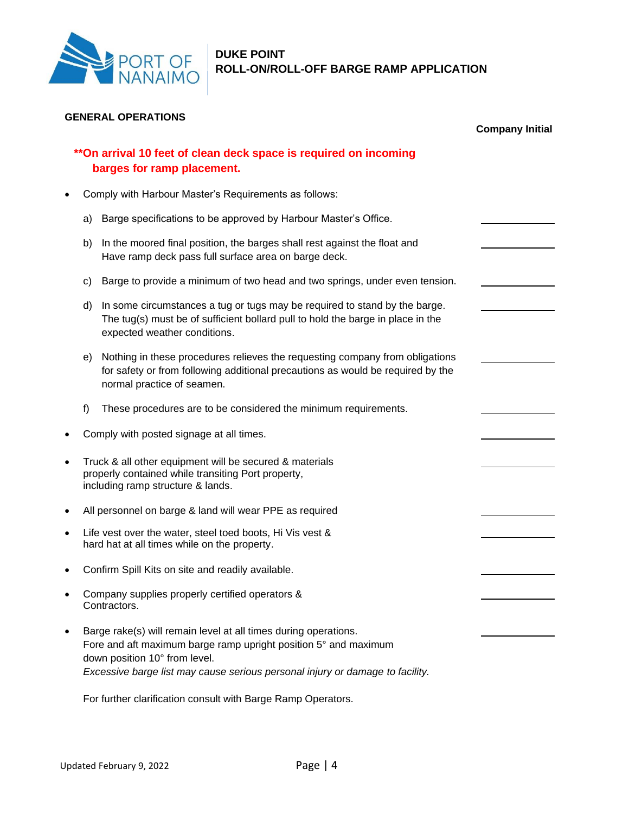

| <b>GENERAL OPERATIONS</b> | <b>Company Initial</b>                                                                                                                             |                                                                                                                                                                                                                                                      |  |
|---------------------------|----------------------------------------------------------------------------------------------------------------------------------------------------|------------------------------------------------------------------------------------------------------------------------------------------------------------------------------------------------------------------------------------------------------|--|
|                           |                                                                                                                                                    | **On arrival 10 feet of clean deck space is required on incoming<br>barges for ramp placement.                                                                                                                                                       |  |
|                           |                                                                                                                                                    | Comply with Harbour Master's Requirements as follows:                                                                                                                                                                                                |  |
|                           | a)                                                                                                                                                 | Barge specifications to be approved by Harbour Master's Office.                                                                                                                                                                                      |  |
|                           | b)                                                                                                                                                 | In the moored final position, the barges shall rest against the float and<br>Have ramp deck pass full surface area on barge deck.                                                                                                                    |  |
|                           | c)                                                                                                                                                 | Barge to provide a minimum of two head and two springs, under even tension.                                                                                                                                                                          |  |
|                           | d)                                                                                                                                                 | In some circumstances a tug or tugs may be required to stand by the barge.<br>The tug(s) must be of sufficient bollard pull to hold the barge in place in the<br>expected weather conditions.                                                        |  |
|                           | e)                                                                                                                                                 | Nothing in these procedures relieves the requesting company from obligations<br>for safety or from following additional precautions as would be required by the<br>normal practice of seamen.                                                        |  |
|                           | f)                                                                                                                                                 | These procedures are to be considered the minimum requirements.                                                                                                                                                                                      |  |
|                           |                                                                                                                                                    | Comply with posted signage at all times.                                                                                                                                                                                                             |  |
| $\bullet$                 | Truck & all other equipment will be secured & materials<br>properly contained while transiting Port property,<br>including ramp structure & lands. |                                                                                                                                                                                                                                                      |  |
|                           | All personnel on barge & land will wear PPE as required                                                                                            |                                                                                                                                                                                                                                                      |  |
| $\bullet$                 | Life vest over the water, steel toed boots, Hi Vis vest &<br>hard hat at all times while on the property.                                          |                                                                                                                                                                                                                                                      |  |
|                           |                                                                                                                                                    | Confirm Spill Kits on site and readily available.                                                                                                                                                                                                    |  |
|                           |                                                                                                                                                    | Company supplies properly certified operators &<br>Contractors.                                                                                                                                                                                      |  |
|                           |                                                                                                                                                    | Barge rake(s) will remain level at all times during operations.<br>Fore and aft maximum barge ramp upright position 5° and maximum<br>down position 10° from level.<br>Excessive barge list may cause serious personal injury or damage to facility. |  |

For further clarification consult with Barge Ramp Operators.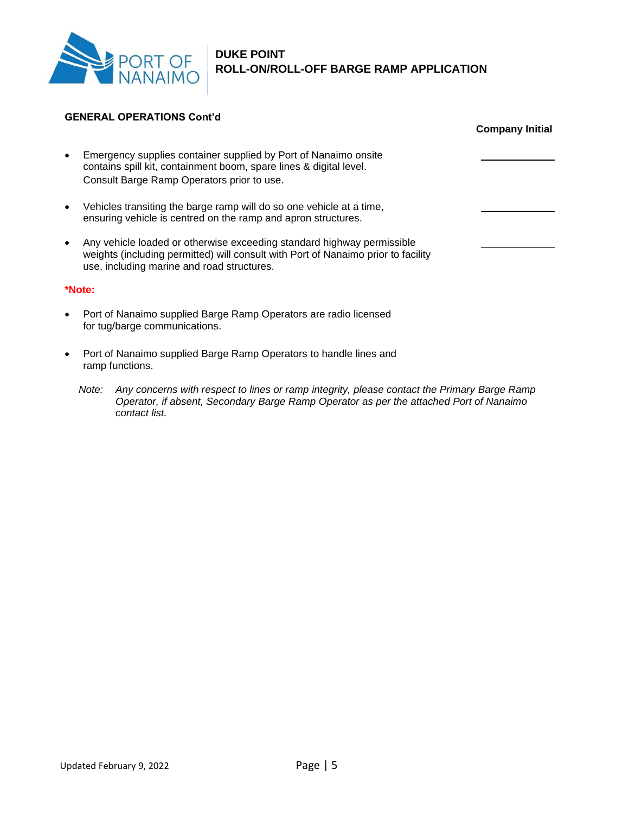

### **GENERAL OPERATIONS Cont'd**

|           |                                                                                                                                                                                                           | <b>Company Initial</b> |
|-----------|-----------------------------------------------------------------------------------------------------------------------------------------------------------------------------------------------------------|------------------------|
| $\bullet$ | Emergency supplies container supplied by Port of Nanaimo onsite<br>contains spill kit, containment boom, spare lines & digital level.<br>Consult Barge Ramp Operators prior to use.                       |                        |
| $\bullet$ | Vehicles transiting the barge ramp will do so one vehicle at a time,<br>ensuring vehicle is centred on the ramp and apron structures.                                                                     |                        |
| $\bullet$ | Any vehicle loaded or otherwise exceeding standard highway permissible<br>weights (including permitted) will consult with Port of Nanaimo prior to facility<br>use, including marine and road structures. |                        |
|           | *Note:                                                                                                                                                                                                    |                        |
| $\bullet$ | Port of Nanaimo supplied Barge Ramp Operators are radio licensed<br>for tug/barge communications.                                                                                                         |                        |
| $\bullet$ | Port of Nanaimo supplied Barge Ramp Operators to handle lines and<br>ramp functions.                                                                                                                      |                        |

*Note: Any concerns with respect to lines or ramp integrity, please contact the Primary Barge Ramp Operator, if absent, Secondary Barge Ramp Operator as per the attached Port of Nanaimo contact list.*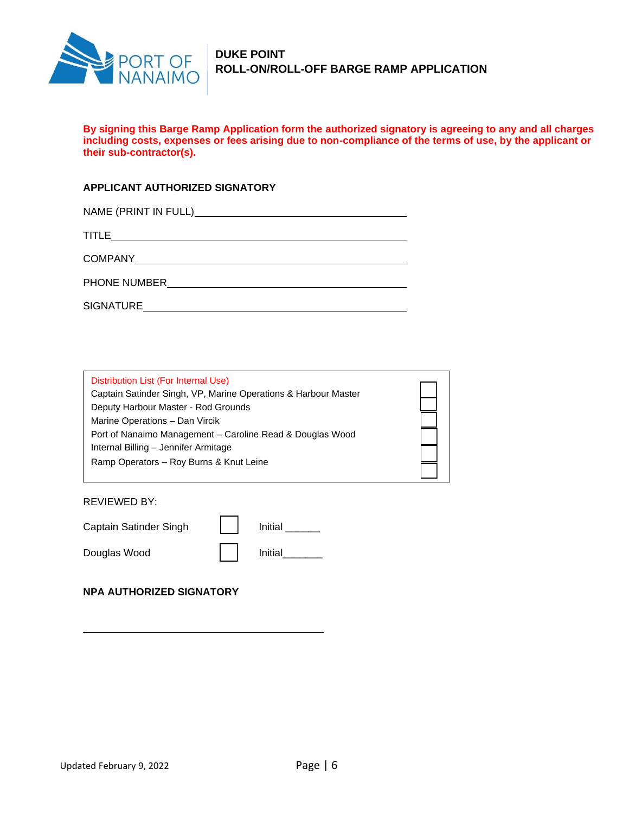

# **DUKE POINT ROLL-ON/ROLL-OFF BARGE RAMP APPLICATION**

**By signing this Barge Ramp Application form the authorized signatory is agreeing to any and all charges including costs, expenses or fees arising due to non-compliance of the terms of use, by the applicant or their sub-contractor(s).**

### **APPLICANT AUTHORIZED SIGNATORY**

| TITLE<br>the contract of the contract of the contract of the contract of the contract of the contract of the contract of |
|--------------------------------------------------------------------------------------------------------------------------|
|                                                                                                                          |
| PHONE NUMBER                                                                                                             |
| SIGNATURE                                                                                                                |

| Distribution List (For Internal Use)                           |  |
|----------------------------------------------------------------|--|
| Captain Satinder Singh, VP, Marine Operations & Harbour Master |  |
| Deputy Harbour Master - Rod Grounds                            |  |
| Marine Operations - Dan Vircik                                 |  |
| Port of Nanaimo Management - Caroline Read & Douglas Wood      |  |
| Internal Billing - Jennifer Armitage                           |  |
| Ramp Operators - Roy Burns & Knut Leine                        |  |
|                                                                |  |

REVIEWED BY:

| Captain Satinder Singh | Initial |
|------------------------|---------|
| Douglas Wood           | Initial |

**NPA AUTHORIZED SIGNATORY**